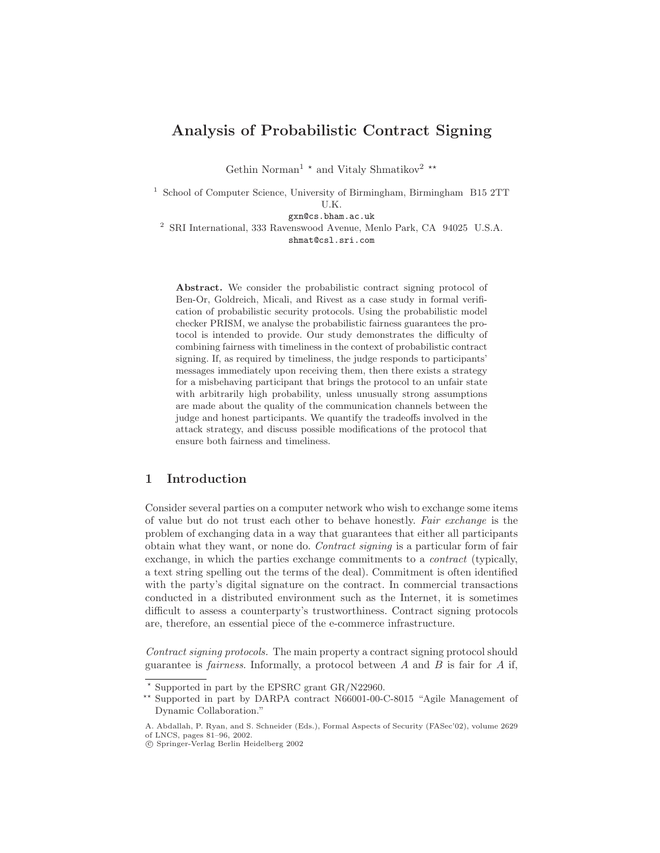# Analysis of Probabilistic Contract Signing

Gethin Norman<sup>1</sup>  $\star$  and Vitaly Shmatikov<sup>2</sup>  $\star\star$ 

<sup>1</sup> School of Computer Science, University of Birmingham, Birmingham B15 2TT U.K.

gxn@cs.bham.ac.uk <sup>2</sup> SRI International, 333 Ravenswood Avenue, Menlo Park, CA 94025 U.S.A. shmat@csl.sri.com

Abstract. We consider the probabilistic contract signing protocol of Ben-Or, Goldreich, Micali, and Rivest as a case study in formal verification of probabilistic security protocols. Using the probabilistic model checker PRISM, we analyse the probabilistic fairness guarantees the protocol is intended to provide. Our study demonstrates the difficulty of combining fairness with timeliness in the context of probabilistic contract signing. If, as required by timeliness, the judge responds to participants' messages immediately upon receiving them, then there exists a strategy for a misbehaving participant that brings the protocol to an unfair state with arbitrarily high probability, unless unusually strong assumptions are made about the quality of the communication channels between the judge and honest participants. We quantify the tradeoffs involved in the attack strategy, and discuss possible modifications of the protocol that ensure both fairness and timeliness.

# 1 Introduction

Consider several parties on a computer network who wish to exchange some items of value but do not trust each other to behave honestly. Fair exchange is the problem of exchanging data in a way that guarantees that either all participants obtain what they want, or none do. Contract signing is a particular form of fair exchange, in which the parties exchange commitments to a contract (typically, a text string spelling out the terms of the deal). Commitment is often identified with the party's digital signature on the contract. In commercial transactions conducted in a distributed environment such as the Internet, it is sometimes difficult to assess a counterparty's trustworthiness. Contract signing protocols are, therefore, an essential piece of the e-commerce infrastructure.

Contract signing protocols. The main property a contract signing protocol should guarantee is *fairness*. Informally, a protocol between  $A$  and  $B$  is fair for  $A$  if,

Supported in part by the EPSRC grant GR/N22960.

<sup>\*\*</sup> Supported in part by DARPA contract N66001-00-C-8015 "Agile Management of Dynamic Collaboration."

A. Abdallah, P. Ryan, and S. Schneider (Eds.), Formal Aspects of Security (FASec'02), volume 2629 of LNCS, pages 81–96, 2002.

c Springer-Verlag Berlin Heidelberg 2002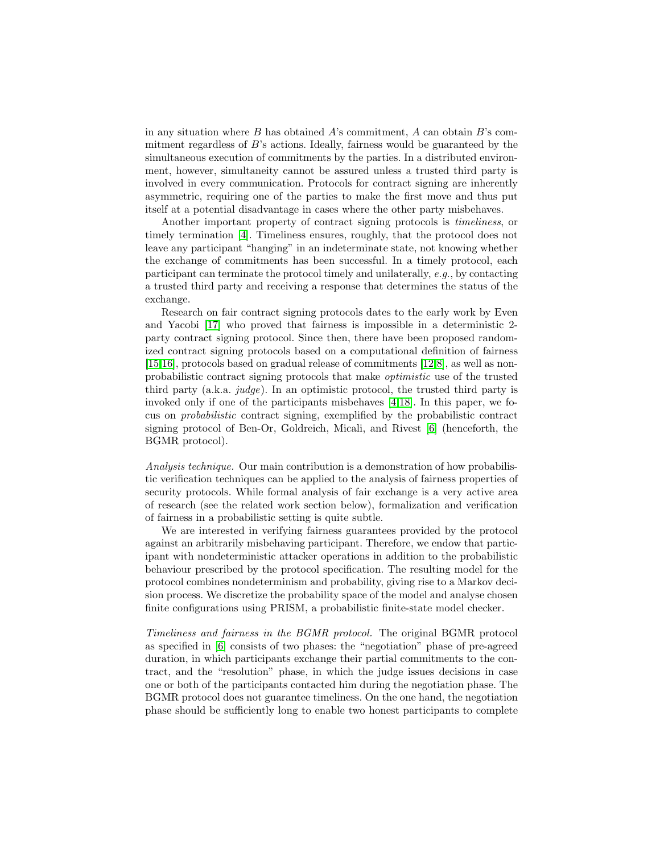in any situation where  $B$  has obtained  $A$ 's commitment,  $A$  can obtain  $B$ 's commitment regardless of B's actions. Ideally, fairness would be guaranteed by the simultaneous execution of commitments by the parties. In a distributed environment, however, simultaneity cannot be assured unless a trusted third party is involved in every communication. Protocols for contract signing are inherently asymmetric, requiring one of the parties to make the first move and thus put itself at a potential disadvantage in cases where the other party misbehaves.

Another important property of contract signing protocols is timeliness, or timely termination [\[4\]](#page-14-0). Timeliness ensures, roughly, that the protocol does not leave any participant "hanging" in an indeterminate state, not knowing whether the exchange of commitments has been successful. In a timely protocol, each participant can terminate the protocol timely and unilaterally, e.g., by contacting a trusted third party and receiving a response that determines the status of the exchange.

Research on fair contract signing protocols dates to the early work by Even and Yacobi [\[17\]](#page-15-0) who proved that fairness is impossible in a deterministic 2 party contract signing protocol. Since then, there have been proposed randomized contract signing protocols based on a computational definition of fairness [\[15](#page-15-1)[,16\]](#page-15-2), protocols based on gradual release of commitments [\[12,](#page-15-3)[8\]](#page-14-1), as well as nonprobabilistic contract signing protocols that make optimistic use of the trusted third party (a.k.a.  $judge$ ). In an optimistic protocol, the trusted third party is invoked only if one of the participants misbehaves [\[4,](#page-14-0)[18\]](#page-15-4). In this paper, we focus on probabilistic contract signing, exemplified by the probabilistic contract signing protocol of Ben-Or, Goldreich, Micali, and Rivest [\[6\]](#page-14-2) (henceforth, the BGMR protocol).

Analysis technique. Our main contribution is a demonstration of how probabilistic verification techniques can be applied to the analysis of fairness properties of security protocols. While formal analysis of fair exchange is a very active area of research (see the related work section below), formalization and verification of fairness in a probabilistic setting is quite subtle.

We are interested in verifying fairness guarantees provided by the protocol against an arbitrarily misbehaving participant. Therefore, we endow that participant with nondeterministic attacker operations in addition to the probabilistic behaviour prescribed by the protocol specification. The resulting model for the protocol combines nondeterminism and probability, giving rise to a Markov decision process. We discretize the probability space of the model and analyse chosen finite configurations using PRISM, a probabilistic finite-state model checker.

Timeliness and fairness in the BGMR protocol. The original BGMR protocol as specified in [\[6\]](#page-14-2) consists of two phases: the "negotiation" phase of pre-agreed duration, in which participants exchange their partial commitments to the contract, and the "resolution" phase, in which the judge issues decisions in case one or both of the participants contacted him during the negotiation phase. The BGMR protocol does not guarantee timeliness. On the one hand, the negotiation phase should be sufficiently long to enable two honest participants to complete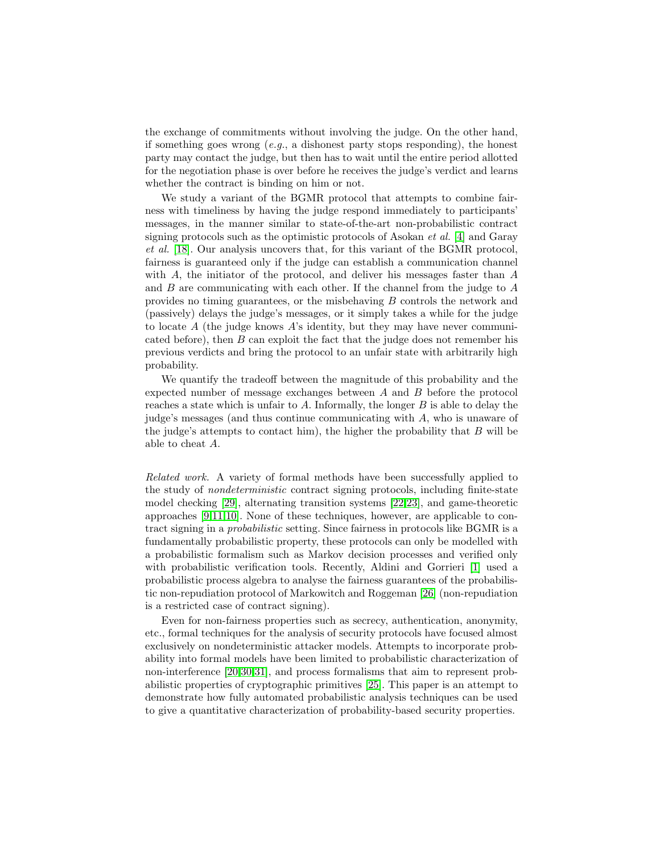the exchange of commitments without involving the judge. On the other hand, if something goes wrong  $(e.g., a$  dishonest party stops responding), the honest party may contact the judge, but then has to wait until the entire period allotted for the negotiation phase is over before he receives the judge's verdict and learns whether the contract is binding on him or not.

We study a variant of the BGMR protocol that attempts to combine fairness with timeliness by having the judge respond immediately to participants' messages, in the manner similar to state-of-the-art non-probabilistic contract signing protocols such as the optimistic protocols of Asokan et al. [\[4\]](#page-14-0) and Garay et al. [\[18\]](#page-15-4). Our analysis uncovers that, for this variant of the BGMR protocol, fairness is guaranteed only if the judge can establish a communication channel with  $A$ , the initiator of the protocol, and deliver his messages faster than  $A$ and  $B$  are communicating with each other. If the channel from the judge to  $A$ provides no timing guarantees, or the misbehaving B controls the network and (passively) delays the judge's messages, or it simply takes a while for the judge to locate  $A$  (the judge knows  $A$ 's identity, but they may have never communicated before), then  $B$  can exploit the fact that the judge does not remember his previous verdicts and bring the protocol to an unfair state with arbitrarily high probability.

We quantify the tradeoff between the magnitude of this probability and the expected number of message exchanges between A and B before the protocol reaches a state which is unfair to A. Informally, the longer  $B$  is able to delay the judge's messages (and thus continue communicating with A, who is unaware of the judge's attempts to contact him), the higher the probability that  $B$  will be able to cheat A.

Related work. A variety of formal methods have been successfully applied to the study of nondeterministic contract signing protocols, including finite-state model checking [\[29\]](#page-15-5), alternating transition systems [\[22,](#page-15-6)[23\]](#page-15-7), and game-theoretic approaches [\[9,](#page-15-8)[11,](#page-15-9)[10\]](#page-15-10). None of these techniques, however, are applicable to contract signing in a probabilistic setting. Since fairness in protocols like BGMR is a fundamentally probabilistic property, these protocols can only be modelled with a probabilistic formalism such as Markov decision processes and verified only with probabilistic verification tools. Recently, Aldini and Gorrieri [\[1\]](#page-14-3) used a probabilistic process algebra to analyse the fairness guarantees of the probabilistic non-repudiation protocol of Markowitch and Roggeman [\[26\]](#page-15-11) (non-repudiation is a restricted case of contract signing).

Even for non-fairness properties such as secrecy, authentication, anonymity, etc., formal techniques for the analysis of security protocols have focused almost exclusively on nondeterministic attacker models. Attempts to incorporate probability into formal models have been limited to probabilistic characterization of non-interference [\[20,](#page-15-12)[30,](#page-15-13)[31\]](#page-16-0), and process formalisms that aim to represent probabilistic properties of cryptographic primitives [\[25\]](#page-15-14). This paper is an attempt to demonstrate how fully automated probabilistic analysis techniques can be used to give a quantitative characterization of probability-based security properties.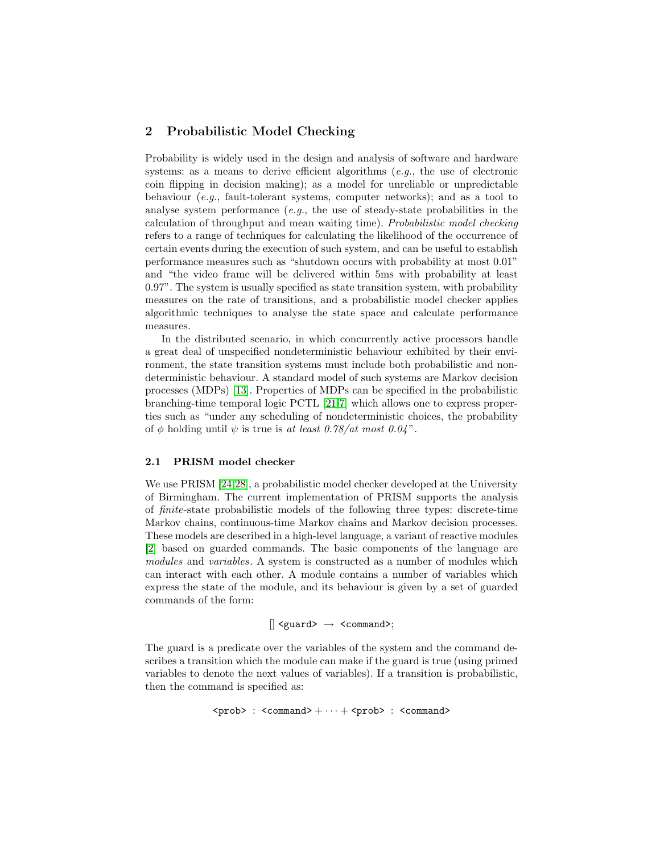# 2 Probabilistic Model Checking

Probability is widely used in the design and analysis of software and hardware systems: as a means to derive efficient algorithms  $(e.g., the use of electronic)$ coin flipping in decision making); as a model for unreliable or unpredictable behaviour (e.g., fault-tolerant systems, computer networks); and as a tool to analyse system performance  $(e.g.,\)$  the use of steady-state probabilities in the calculation of throughput and mean waiting time). Probabilistic model checking refers to a range of techniques for calculating the likelihood of the occurrence of certain events during the execution of such system, and can be useful to establish performance measures such as "shutdown occurs with probability at most 0.01" and "the video frame will be delivered within 5ms with probability at least 0.97". The system is usually specified as state transition system, with probability measures on the rate of transitions, and a probabilistic model checker applies algorithmic techniques to analyse the state space and calculate performance measures.

In the distributed scenario, in which concurrently active processors handle a great deal of unspecified nondeterministic behaviour exhibited by their environment, the state transition systems must include both probabilistic and nondeterministic behaviour. A standard model of such systems are Markov decision processes (MDPs) [\[13\]](#page-15-15). Properties of MDPs can be specified in the probabilistic branching-time temporal logic PCTL [\[21](#page-15-16)[,7\]](#page-14-4) which allows one to express properties such as "under any scheduling of nondeterministic choices, the probability of  $\phi$  holding until  $\psi$  is true is at least 0.78/at most 0.04".

#### 2.1 PRISM model checker

We use PRISM [\[24](#page-15-17)[,28\]](#page-15-18), a probabilistic model checker developed at the University of Birmingham. The current implementation of PRISM supports the analysis of finite-state probabilistic models of the following three types: discrete-time Markov chains, continuous-time Markov chains and Markov decision processes. These models are described in a high-level language, a variant of reactive modules [\[2\]](#page-14-5) based on guarded commands. The basic components of the language are modules and variables. A system is constructed as a number of modules which can interact with each other. A module contains a number of variables which express the state of the module, and its behaviour is given by a set of guarded commands of the form:

### $[$  <guard>  $\rightarrow$  <command>;

The guard is a predicate over the variables of the system and the command describes a transition which the module can make if the guard is true (using primed variables to denote the next values of variables). If a transition is probabilistic, then the command is specified as:

 $<$ prob> :  $<$ command>  $+ \cdots + <$ prob> :  $<$ command>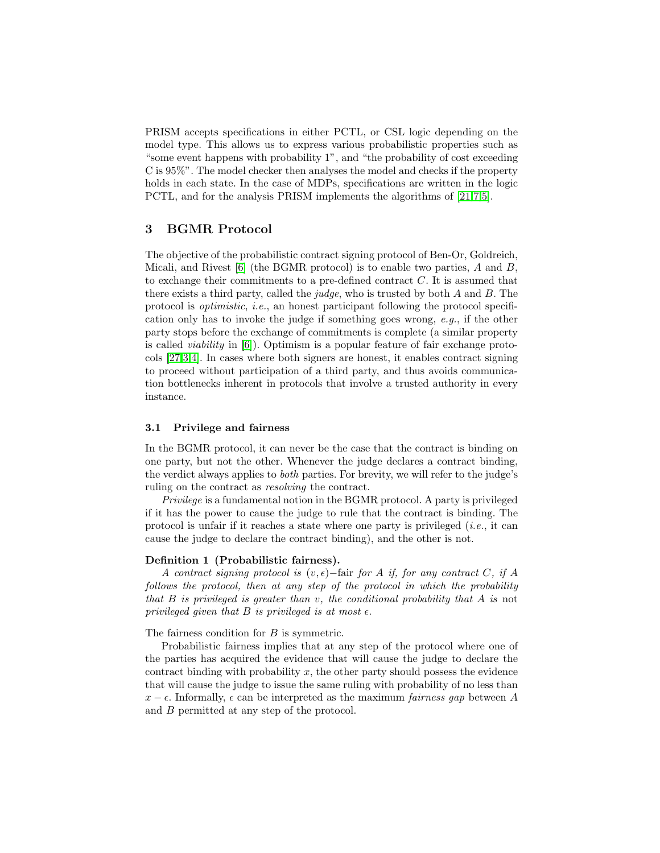PRISM accepts specifications in either PCTL, or CSL logic depending on the model type. This allows us to express various probabilistic properties such as "some event happens with probability 1", and "the probability of cost exceeding C is 95%". The model checker then analyses the model and checks if the property holds in each state. In the case of MDPs, specifications are written in the logic PCTL, and for the analysis PRISM implements the algorithms of [\[21](#page-15-16)[,7](#page-14-4)[,5\]](#page-14-6).

# 3 BGMR Protocol

The objective of the probabilistic contract signing protocol of Ben-Or, Goldreich, Micali, and Rivest  $[6]$  (the BGMR protocol) is to enable two parties, A and B, to exchange their commitments to a pre-defined contract  $C$ . It is assumed that there exists a third party, called the judge, who is trusted by both A and B. The protocol is optimistic, i.e., an honest participant following the protocol specification only has to invoke the judge if something goes wrong, e.g., if the other party stops before the exchange of commitments is complete (a similar property is called viability in [\[6\]](#page-14-2)). Optimism is a popular feature of fair exchange protocols [\[27,](#page-15-19)[3,](#page-14-7)[4\]](#page-14-0). In cases where both signers are honest, it enables contract signing to proceed without participation of a third party, and thus avoids communication bottlenecks inherent in protocols that involve a trusted authority in every instance.

## <span id="page-4-0"></span>3.1 Privilege and fairness

In the BGMR protocol, it can never be the case that the contract is binding on one party, but not the other. Whenever the judge declares a contract binding, the verdict always applies to both parties. For brevity, we will refer to the judge's ruling on the contract as resolving the contract.

Privilege is a fundamental notion in the BGMR protocol. A party is privileged if it has the power to cause the judge to rule that the contract is binding. The protocol is unfair if it reaches a state where one party is privileged  $(i.e., it can$ cause the judge to declare the contract binding), and the other is not.

#### Definition 1 (Probabilistic fairness).

A contract signing protocol is  $(v, \epsilon)$ -fair for A if, for any contract C, if A follows the protocol, then at any step of the protocol in which the probability that  $B$  is privileged is greater than v, the conditional probability that  $A$  is not privileged given that B is privileged is at most  $\epsilon$ .

The fairness condition for B is symmetric.

Probabilistic fairness implies that at any step of the protocol where one of the parties has acquired the evidence that will cause the judge to declare the contract binding with probability  $x$ , the other party should possess the evidence that will cause the judge to issue the same ruling with probability of no less than  $x - \epsilon$ . Informally,  $\epsilon$  can be interpreted as the maximum *fairness gap* between A and B permitted at any step of the protocol.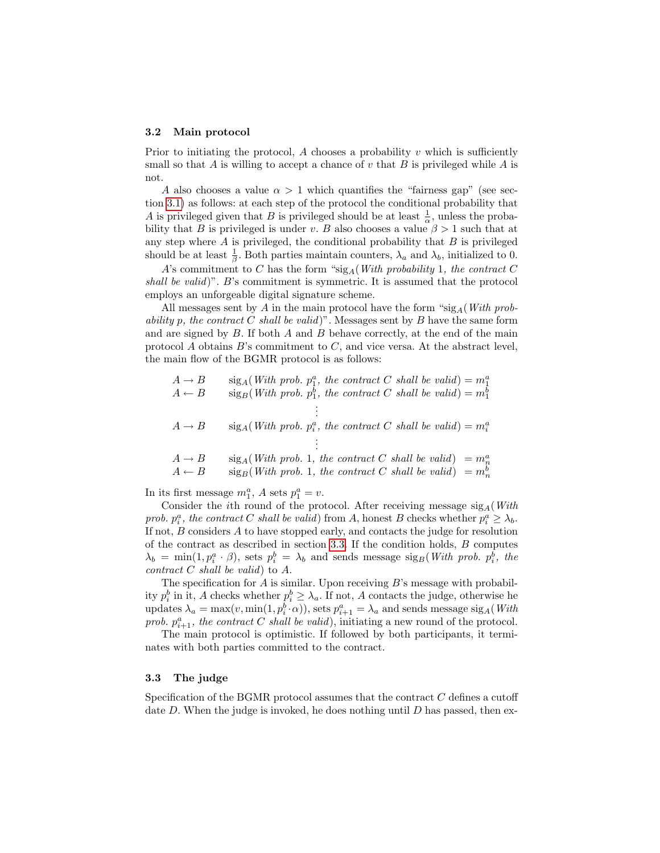#### <span id="page-5-1"></span>3.2 Main protocol

Prior to initiating the protocol,  $A$  chooses a probability  $v$  which is sufficiently small so that A is willing to accept a chance of v that B is privileged while A is not.

A also chooses a value  $\alpha > 1$  which quantifies the "fairness gap" (see section [3.1\)](#page-4-0) as follows: at each step of the protocol the conditional probability that A is privileged given that B is privileged should be at least  $\frac{1}{\alpha}$ , unless the probability that B is privileged is under v. B also chooses a value  $\beta > 1$  such that at any step where  $A$  is privileged, the conditional probability that  $B$  is privileged should be at least  $\frac{1}{\beta}$ . Both parties maintain counters,  $\lambda_a$  and  $\lambda_b$ , initialized to 0.

A's commitment to C has the form "sig<sub>A</sub>(With probability 1, the contract C shall be valid)". B's commitment is symmetric. It is assumed that the protocol employs an unforgeable digital signature scheme.

All messages sent by A in the main protocol have the form "sig<sub>A</sub>(With probability p, the contract C shall be valid)". Messages sent by  $B$  have the same form and are signed by  $B$ . If both  $A$  and  $B$  behave correctly, at the end of the main protocol  $\tilde{A}$  obtains  $B$ 's commitment to  $C$ , and vice versa. At the abstract level, the main flow of the BGMR protocol is as follows:

$$
A \rightarrow B
$$
 sig<sub>A</sub>(With prob.  $p_1^a$ , the contract *C* shall be valid) =  $m_1^a$   
\n $A \leftarrow B$  sig<sub>B</sub>(With prob.  $p_1^b$ , the contract *C* shall be valid) =  $m_1^b$   
\n:  
\n $A \rightarrow B$  sig<sub>A</sub>(With prob.  $p_i^a$ , the contract *C* shall be valid) =  $m_i^a$   
\n:  
\n $A \rightarrow B$  sig<sub>A</sub>(With prob. 1, the contract *C* shall be valid) =  $m_n^a$   
\n $A \leftarrow B$  sig<sub>B</sub>(With prob. 1, the contract *C* shall be valid) =  $m_n^b$   
\n $= m_n^b$ 

In its first message  $m_1^a$ , A sets  $p_1^a = v$ .

Consider the *i*th round of the protocol. After receiving message  $\text{sig}_A(With)$ prob.  $p_i^a$ , the contract C shall be valid) from A, honest B checks whether  $p_i^a \geq \lambda_b$ . If not,  $B$  considers  $A$  to have stopped early, and contacts the judge for resolution of the contract as described in section [3.3.](#page-5-0) If the condition holds,  $B$  computes  $\lambda_b = \min(1, p_i^a \cdot \beta)$ , sets  $p_i^b = \lambda_b$  and sends message sig<sub>B</sub>(With prob.  $p_i^b$ , the contract  $C$  shall be valid) to  $A$ .

The specification for  $A$  is similar. Upon receiving  $B$ 's message with probability  $p_i^b$  in it, A checks whether  $p_i^b \geq \lambda_a$ . If not, A contacts the judge, otherwise he updates  $\lambda_a = \max(v, \min(1, p_i^b \cdot \alpha))$ , sets  $p_{i+1}^a = \lambda_a$  and sends message sig<sub>A</sub>(*With* prob.  $p_{i+1}^a$ , the contract C shall be valid), initiating a new round of the protocol.

The main protocol is optimistic. If followed by both participants, it terminates with both parties committed to the contract.

#### <span id="page-5-0"></span>3.3 The judge

Specification of the BGMR protocol assumes that the contract  $C$  defines a cutoff date  $D$ . When the judge is invoked, he does nothing until  $D$  has passed, then ex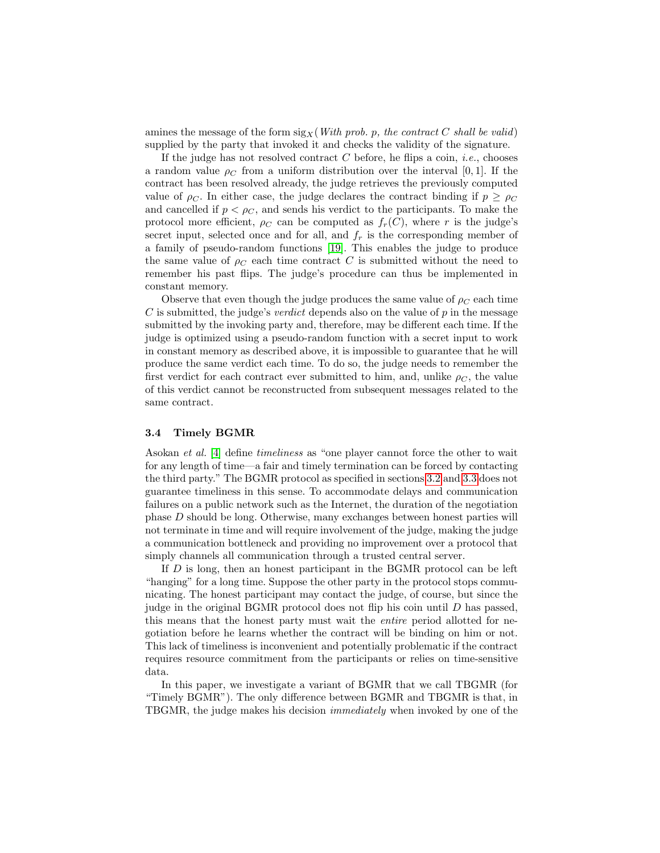amines the message of the form  $sig_X(With\ prob. p, the\ contract\ C\ shall\ be\ valid)$ supplied by the party that invoked it and checks the validity of the signature.

If the judge has not resolved contract  $C$  before, he flips a coin, *i.e.*, chooses a random value  $\rho_C$  from a uniform distribution over the interval [0, 1]. If the contract has been resolved already, the judge retrieves the previously computed value of  $\rho_C$ . In either case, the judge declares the contract binding if  $p \ge \rho_C$ and cancelled if  $p < \rho_C$ , and sends his verdict to the participants. To make the protocol more efficient,  $\rho_C$  can be computed as  $f_r(C)$ , where r is the judge's secret input, selected once and for all, and  $f<sub>r</sub>$  is the corresponding member of a family of pseudo-random functions [\[19\]](#page-15-20). This enables the judge to produce the same value of  $\rho_C$  each time contract C is submitted without the need to remember his past flips. The judge's procedure can thus be implemented in constant memory.

Observe that even though the judge produces the same value of  $\rho_C$  each time C is submitted, the judge's verdict depends also on the value of  $p$  in the message submitted by the invoking party and, therefore, may be different each time. If the judge is optimized using a pseudo-random function with a secret input to work in constant memory as described above, it is impossible to guarantee that he will produce the same verdict each time. To do so, the judge needs to remember the first verdict for each contract ever submitted to him, and, unlike  $\rho_C$ , the value of this verdict cannot be reconstructed from subsequent messages related to the same contract.

# 3.4 Timely BGMR

Asokan et al. [\[4\]](#page-14-0) define timeliness as "one player cannot force the other to wait for any length of time—a fair and timely termination can be forced by contacting the third party." The BGMR protocol as specified in sections [3.2](#page-5-1) and [3.3](#page-5-0) does not guarantee timeliness in this sense. To accommodate delays and communication failures on a public network such as the Internet, the duration of the negotiation phase D should be long. Otherwise, many exchanges between honest parties will not terminate in time and will require involvement of the judge, making the judge a communication bottleneck and providing no improvement over a protocol that simply channels all communication through a trusted central server.

If  $D$  is long, then an honest participant in the BGMR protocol can be left "hanging" for a long time. Suppose the other party in the protocol stops communicating. The honest participant may contact the judge, of course, but since the judge in the original BGMR protocol does not flip his coin until  $D$  has passed, this means that the honest party must wait the entire period allotted for negotiation before he learns whether the contract will be binding on him or not. This lack of timeliness is inconvenient and potentially problematic if the contract requires resource commitment from the participants or relies on time-sensitive data.

In this paper, we investigate a variant of BGMR that we call TBGMR (for "Timely BGMR"). The only difference between BGMR and TBGMR is that, in TBGMR, the judge makes his decision *immediately* when invoked by one of the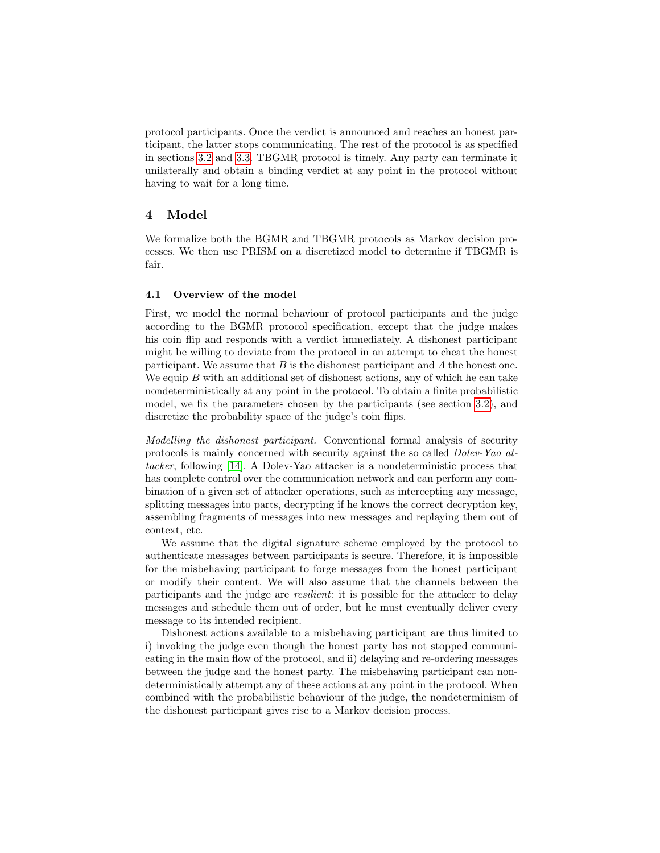protocol participants. Once the verdict is announced and reaches an honest participant, the latter stops communicating. The rest of the protocol is as specified in sections [3.2](#page-5-1) and [3.3.](#page-5-0) TBGMR protocol is timely. Any party can terminate it unilaterally and obtain a binding verdict at any point in the protocol without having to wait for a long time.

## 4 Model

We formalize both the BGMR and TBGMR protocols as Markov decision processes. We then use PRISM on a discretized model to determine if TBGMR is fair.

#### 4.1 Overview of the model

First, we model the normal behaviour of protocol participants and the judge according to the BGMR protocol specification, except that the judge makes his coin flip and responds with a verdict immediately. A dishonest participant might be willing to deviate from the protocol in an attempt to cheat the honest participant. We assume that  $B$  is the dishonest participant and  $A$  the honest one. We equip  $B$  with an additional set of dishonest actions, any of which he can take nondeterministically at any point in the protocol. To obtain a finite probabilistic model, we fix the parameters chosen by the participants (see section [3.2\)](#page-5-1), and discretize the probability space of the judge's coin flips.

Modelling the dishonest participant. Conventional formal analysis of security protocols is mainly concerned with security against the so called Dolev-Yao attacker, following [\[14\]](#page-15-21). A Dolev-Yao attacker is a nondeterministic process that has complete control over the communication network and can perform any combination of a given set of attacker operations, such as intercepting any message, splitting messages into parts, decrypting if he knows the correct decryption key, assembling fragments of messages into new messages and replaying them out of context, etc.

We assume that the digital signature scheme employed by the protocol to authenticate messages between participants is secure. Therefore, it is impossible for the misbehaving participant to forge messages from the honest participant or modify their content. We will also assume that the channels between the participants and the judge are resilient: it is possible for the attacker to delay messages and schedule them out of order, but he must eventually deliver every message to its intended recipient.

Dishonest actions available to a misbehaving participant are thus limited to i) invoking the judge even though the honest party has not stopped communicating in the main flow of the protocol, and ii) delaying and re-ordering messages between the judge and the honest party. The misbehaving participant can nondeterministically attempt any of these actions at any point in the protocol. When combined with the probabilistic behaviour of the judge, the nondeterminism of the dishonest participant gives rise to a Markov decision process.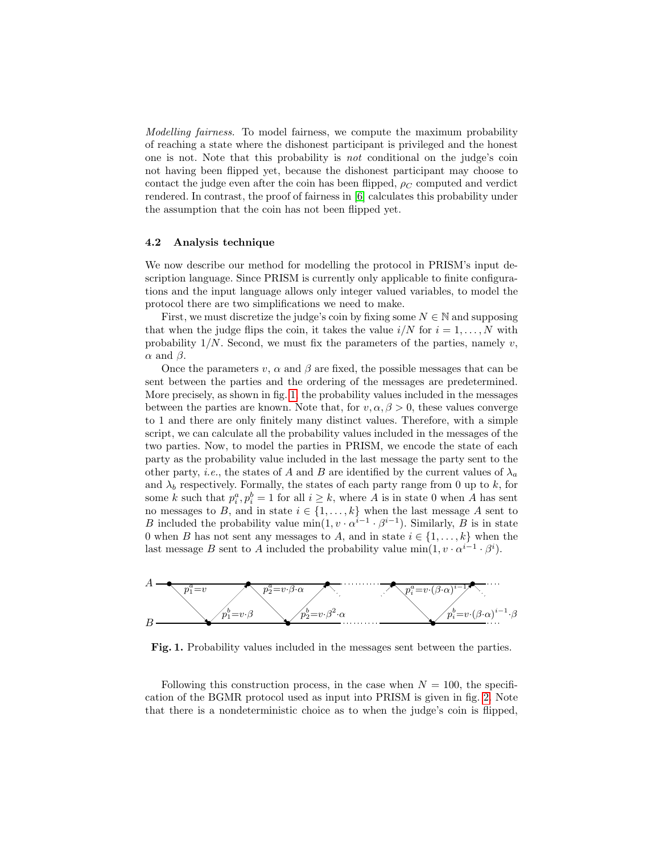Modelling fairness. To model fairness, we compute the maximum probability of reaching a state where the dishonest participant is privileged and the honest one is not. Note that this probability is not conditional on the judge's coin not having been flipped yet, because the dishonest participant may choose to contact the judge even after the coin has been flipped,  $\rho_C$  computed and verdict rendered. In contrast, the proof of fairness in [\[6\]](#page-14-2) calculates this probability under the assumption that the coin has not been flipped yet.

#### 4.2 Analysis technique

We now describe our method for modelling the protocol in PRISM's input description language. Since PRISM is currently only applicable to finite configurations and the input language allows only integer valued variables, to model the protocol there are two simplifications we need to make.

First, we must discretize the judge's coin by fixing some  $N \in \mathbb{N}$  and supposing that when the judge flips the coin, it takes the value  $i/N$  for  $i = 1, \ldots, N$  with probability  $1/N$ . Second, we must fix the parameters of the parties, namely v,  $α$  and  $β$ .

Once the parameters v,  $\alpha$  and  $\beta$  are fixed, the possible messages that can be sent between the parties and the ordering of the messages are predetermined. More precisely, as shown in fig. [1,](#page-8-0) the probability values included in the messages between the parties are known. Note that, for  $v, \alpha, \beta > 0$ , these values converge to 1 and there are only finitely many distinct values. Therefore, with a simple script, we can calculate all the probability values included in the messages of the two parties. Now, to model the parties in PRISM, we encode the state of each party as the probability value included in the last message the party sent to the other party, *i.e.*, the states of A and B are identified by the current values of  $\lambda_a$ and  $\lambda_b$  respectively. Formally, the states of each party range from 0 up to k, for some k such that  $p_i^a, p_i^b = 1$  for all  $i \geq k$ , where A is in state 0 when A has sent no messages to B, and in state  $i \in \{1, \ldots, k\}$  when the last message A sent to B included the probability value  $\min(1, v \cdot \alpha^{i-1} \cdot \beta^{i-1})$ . Similarly, B is in state 0 when B has not sent any messages to A, and in state  $i \in \{1, ..., k\}$  when the last message B sent to A included the probability value  $\min(1, v \cdot \alpha^{i-1} \cdot \beta^i)$ .



<span id="page-8-0"></span>Fig. 1. Probability values included in the messages sent between the parties.

Following this construction process, in the case when  $N = 100$ , the specification of the BGMR protocol used as input into PRISM is given in fig. [2.](#page-9-0) Note that there is a nondeterministic choice as to when the judge's coin is flipped,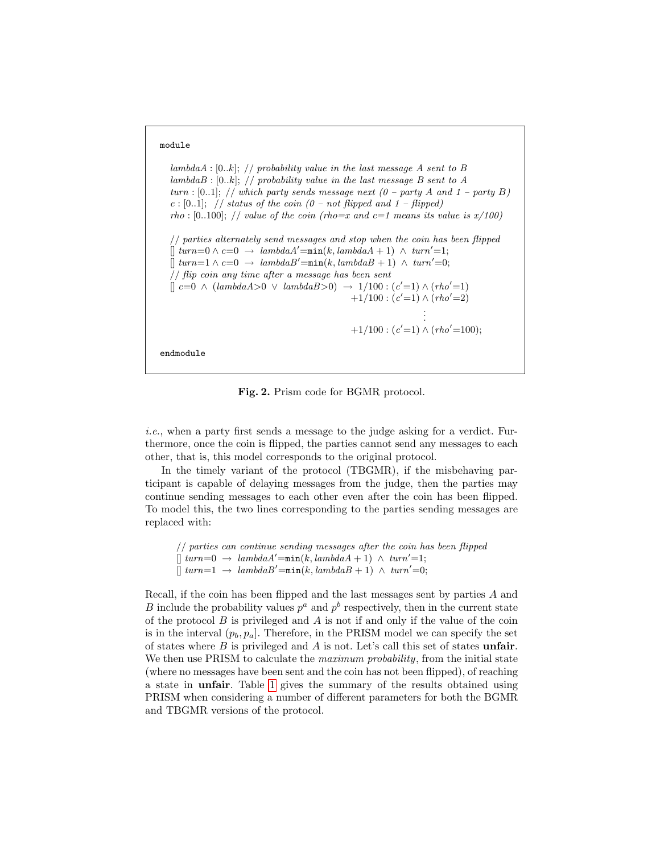#### module

lambdaA :  $[0..k]$ ; // probability value in the last message A sent to B  $lambdaB : [0..k];$  // probability value in the last message B sent to A turn :  $[0..1]$ ; // which party sends message next  $(0 - party A$  and  $1 - party B)$ c : [0..1]; // status of the coin  $(0 - not flipped and 1 - flipped)$ rho : [0..100]; // value of the coin (rho=x and c=1 means its value is  $x/100$ )  $\ell$  parties alternately send messages and stop when the coin has been flipped  $[$  turn=0  $\land$  c=0  $\rightarrow$  lambdaA'=min(k, lambdaA + 1)  $\land$  turn'=1;  $[$  turn=1  $\land$  c=0  $\rightarrow$  lambdaB'=min(k, lambdaB + 1)  $\land$  turn'=0; // flip coin any time after a message has been sent  $[| c=0 \wedge (lambda A>0 \vee lambda B>0) \rightarrow 1/100 : (c'=1) \wedge (rho'=1)$  $+1/100$ :  $(c'=1) \wedge (rho'=2)$ . . .  $+1/100$ :  $(c'=1) \wedge (rho'=100);$ endmodule

<span id="page-9-0"></span>Fig. 2. Prism code for BGMR protocol.

i.e., when a party first sends a message to the judge asking for a verdict. Furthermore, once the coin is flipped, the parties cannot send any messages to each other, that is, this model corresponds to the original protocol.

In the timely variant of the protocol (TBGMR), if the misbehaving participant is capable of delaying messages from the judge, then the parties may continue sending messages to each other even after the coin has been flipped. To model this, the two lines corresponding to the parties sending messages are replaced with:

```
// parties can continue sending messages after the coin has been flipped
[ turn=0 \rightarrow lambdaA'=min(k, lambdaA + 1) \land turn'=1;
[ turn=1 \rightarrow lambdaB'=min(k, lambdaB + 1) \land turn'=0;
```
Recall, if the coin has been flipped and the last messages sent by parties A and B include the probability values  $p^a$  and  $p^b$  respectively, then in the current state of the protocol  $B$  is privileged and  $A$  is not if and only if the value of the coin is in the interval  $(p_b, p_a]$ . Therefore, in the PRISM model we can specify the set of states where  $B$  is privileged and  $A$  is not. Let's call this set of states **unfair**. We then use PRISM to calculate the *maximum probability*, from the initial state (where no messages have been sent and the coin has not been flipped), of reaching a state in unfair. Table [1](#page-10-0) gives the summary of the results obtained using PRISM when considering a number of different parameters for both the BGMR and TBGMR versions of the protocol.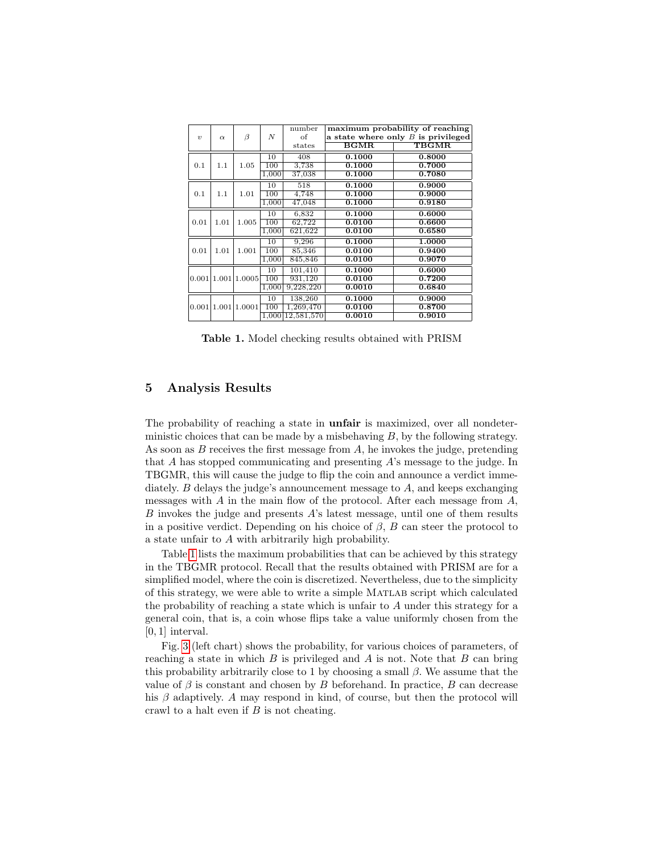| $\boldsymbol{\eta}$ | $\alpha$ | β                  | N     | number     | maximum probability of reaching      |              |
|---------------------|----------|--------------------|-------|------------|--------------------------------------|--------------|
|                     |          |                    |       | οf         | a state where only $B$ is privileged |              |
|                     |          |                    |       | states     | $_{\rm BGMR}$                        | <b>TBGMR</b> |
| 0.1                 | 1.1      | 1.05               | 10    | 408        | 0.1000                               | 0.8000       |
|                     |          |                    | 100   | 3,738      | 0.1000                               | 0.7000       |
|                     |          |                    | 1,000 | 37,038     | 0.1000                               | 0.7080       |
| 0.1                 | 1.1      | 1.01               | 10    | 518        | 0.1000                               | 0.9000       |
|                     |          |                    | 100   | 4,748      | 0.1000                               | 0.9000       |
|                     |          |                    | 1,000 | 47,048     | 0.1000                               | 0.9180       |
| 0.01                | 1.01     | 1.005              | 10    | 6,832      | 0.1000                               | 0.6000       |
|                     |          |                    | 100   | 62,722     | 0.0100                               | 0.6600       |
|                     |          |                    | 1,000 | 621,622    | 0.0100                               | 0.6580       |
| 0.01                | 1.01     | 1.001              | 10    | 9,296      | 0.1000                               | 1.0000       |
|                     |          |                    | 100   | 85,346     | 0.0100                               | 0.9400       |
|                     |          |                    | 1,000 | 845,846    | 0.0100                               | 0.9070       |
| 0.001               |          | 1.001 1.0005       | 10    | 101,410    | 0.1000                               | 0.6000       |
|                     |          |                    | 100   | 931,120    | 0.0100                               | 0.7200       |
|                     |          |                    | 1,000 | 9,228,220  | 0.0010                               | 0.6840       |
|                     |          | 0.001 1.001 1.0001 | 10    | 138,260    | 0.1000                               | 0.9000       |
|                     |          |                    | 100   | 1,269,470  | 0.0100                               | 0.8700       |
|                     |          |                    | 1,000 | 12,581,570 | 0.0010                               | 0.9010       |

<span id="page-10-0"></span>Table 1. Model checking results obtained with PRISM

# <span id="page-10-1"></span>5 Analysis Results

The probability of reaching a state in **unfair** is maximized, over all nondeterministic choices that can be made by a misbehaving  $B$ , by the following strategy. As soon as  $B$  receives the first message from  $A$ , he invokes the judge, pretending that A has stopped communicating and presenting A's message to the judge. In TBGMR, this will cause the judge to flip the coin and announce a verdict immediately. B delays the judge's announcement message to  $A$ , and keeps exchanging messages with  $A$  in the main flow of the protocol. After each message from  $A$ , B invokes the judge and presents A's latest message, until one of them results in a positive verdict. Depending on his choice of  $\beta$ , B can steer the protocol to a state unfair to A with arbitrarily high probability.

Table [1](#page-10-0) lists the maximum probabilities that can be achieved by this strategy in the TBGMR protocol. Recall that the results obtained with PRISM are for a simplified model, where the coin is discretized. Nevertheless, due to the simplicity of this strategy, we were able to write a simple Matlab script which calculated the probability of reaching a state which is unfair to A under this strategy for a general coin, that is, a coin whose flips take a value uniformly chosen from the [0, 1] interval.

Fig. [3](#page-11-0) (left chart) shows the probability, for various choices of parameters, of reaching a state in which  $B$  is privileged and  $A$  is not. Note that  $B$  can bring this probability arbitrarily close to 1 by choosing a small  $\beta$ . We assume that the value of  $\beta$  is constant and chosen by B beforehand. In practice, B can decrease his  $\beta$  adaptively. A may respond in kind, of course, but then the protocol will crawl to a halt even if  $B$  is not cheating.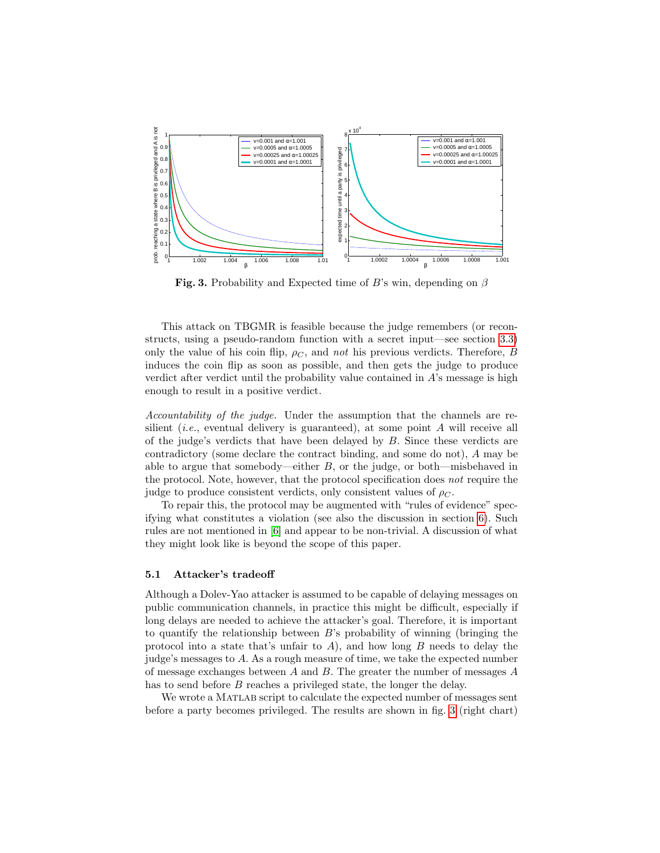

<span id="page-11-0"></span>Fig. 3. Probability and Expected time of B's win, depending on  $\beta$ 

This attack on TBGMR is feasible because the judge remembers (or reconstructs, using a pseudo-random function with a secret input—see section [3.3\)](#page-5-0) only the value of his coin flip,  $\rho_c$ , and not his previous verdicts. Therefore, B induces the coin flip as soon as possible, and then gets the judge to produce verdict after verdict until the probability value contained in A's message is high enough to result in a positive verdict.

Accountability of the judge. Under the assumption that the channels are resilient *(i.e.*, eventual delivery is guaranteed), at some point A will receive all of the judge's verdicts that have been delayed by  $B$ . Since these verdicts are contradictory (some declare the contract binding, and some do not), A may be able to argue that somebody—either  $B$ , or the judge, or both—misbehaved in the protocol. Note, however, that the protocol specification does not require the judge to produce consistent verdicts, only consistent values of  $\rho_C$ .

To repair this, the protocol may be augmented with "rules of evidence" specifying what constitutes a violation (see also the discussion in section [6\)](#page-12-0). Such rules are not mentioned in [\[6\]](#page-14-2) and appear to be non-trivial. A discussion of what they might look like is beyond the scope of this paper.

#### 5.1 Attacker's tradeoff

Although a Dolev-Yao attacker is assumed to be capable of delaying messages on public communication channels, in practice this might be difficult, especially if long delays are needed to achieve the attacker's goal. Therefore, it is important to quantify the relationship between  $B$ 's probability of winning (bringing the protocol into a state that's unfair to  $A$ ), and how long  $B$  needs to delay the judge's messages to A. As a rough measure of time, we take the expected number of message exchanges between A and B. The greater the number of messages  $A$ has to send before B reaches a privileged state, the longer the delay.

We wrote a MATLAB script to calculate the expected number of messages sent before a party becomes privileged. The results are shown in fig. [3](#page-11-0) (right chart)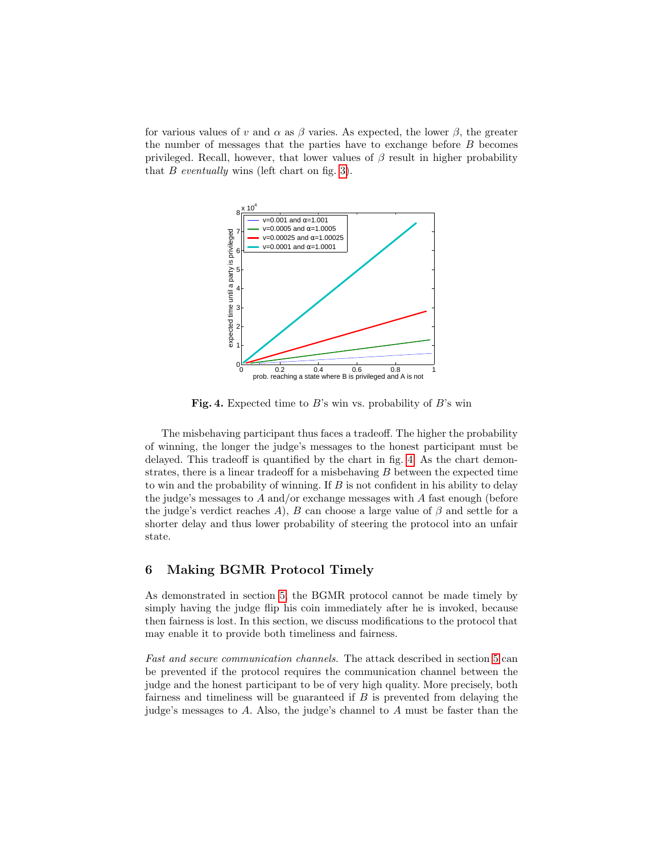for various values of v and  $\alpha$  as  $\beta$  varies. As expected, the lower  $\beta$ , the greater the number of messages that the parties have to exchange before B becomes privileged. Recall, however, that lower values of  $\beta$  result in higher probability that  $B$  eventually wins (left chart on fig. [3\)](#page-11-0).



<span id="page-12-1"></span>Fig. 4. Expected time to  $B$ 's win vs. probability of  $B$ 's win

The misbehaving participant thus faces a tradeoff. The higher the probability of winning, the longer the judge's messages to the honest participant must be delayed. This tradeoff is quantified by the chart in fig. [4.](#page-12-1) As the chart demonstrates, there is a linear tradeoff for a misbehaving  $B$  between the expected time to win and the probability of winning. If  $B$  is not confident in his ability to delay the judge's messages to  $A$  and/or exchange messages with  $A$  fast enough (before the judge's verdict reaches A), B can choose a large value of  $\beta$  and settle for a shorter delay and thus lower probability of steering the protocol into an unfair state.

# <span id="page-12-0"></span>6 Making BGMR Protocol Timely

As demonstrated in section [5,](#page-10-1) the BGMR protocol cannot be made timely by simply having the judge flip his coin immediately after he is invoked, because then fairness is lost. In this section, we discuss modifications to the protocol that may enable it to provide both timeliness and fairness.

Fast and secure communication channels. The attack described in section [5](#page-10-1) can be prevented if the protocol requires the communication channel between the judge and the honest participant to be of very high quality. More precisely, both fairness and timeliness will be guaranteed if  $B$  is prevented from delaying the judge's messages to A. Also, the judge's channel to A must be faster than the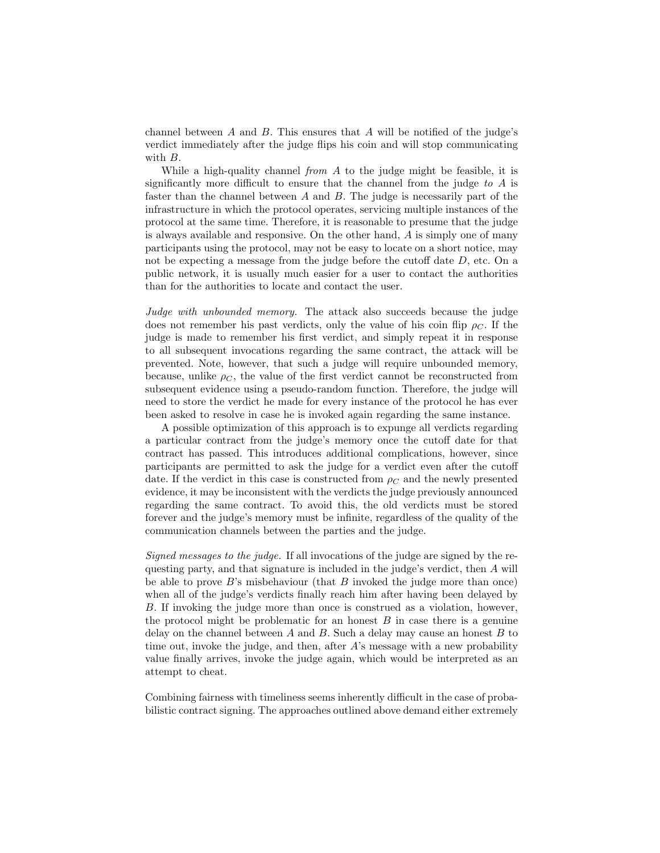channel between  $A$  and  $B$ . This ensures that  $A$  will be notified of the judge's verdict immediately after the judge flips his coin and will stop communicating with B.

While a high-quality channel *from*  $A$  to the judge might be feasible, it is significantly more difficult to ensure that the channel from the judge to  $A$  is faster than the channel between  $A$  and  $B$ . The judge is necessarily part of the infrastructure in which the protocol operates, servicing multiple instances of the protocol at the same time. Therefore, it is reasonable to presume that the judge is always available and responsive. On the other hand, A is simply one of many participants using the protocol, may not be easy to locate on a short notice, may not be expecting a message from the judge before the cutoff date  $D$ , etc. On a public network, it is usually much easier for a user to contact the authorities than for the authorities to locate and contact the user.

Judge with unbounded memory. The attack also succeeds because the judge does not remember his past verdicts, only the value of his coin flip  $\rho_C$ . If the judge is made to remember his first verdict, and simply repeat it in response to all subsequent invocations regarding the same contract, the attack will be prevented. Note, however, that such a judge will require unbounded memory, because, unlike  $\rho_C$ , the value of the first verdict cannot be reconstructed from subsequent evidence using a pseudo-random function. Therefore, the judge will need to store the verdict he made for every instance of the protocol he has ever been asked to resolve in case he is invoked again regarding the same instance.

A possible optimization of this approach is to expunge all verdicts regarding a particular contract from the judge's memory once the cutoff date for that contract has passed. This introduces additional complications, however, since participants are permitted to ask the judge for a verdict even after the cutoff date. If the verdict in this case is constructed from  $\rho_C$  and the newly presented evidence, it may be inconsistent with the verdicts the judge previously announced regarding the same contract. To avoid this, the old verdicts must be stored forever and the judge's memory must be infinite, regardless of the quality of the communication channels between the parties and the judge.

Signed messages to the judge. If all invocations of the judge are signed by the requesting party, and that signature is included in the judge's verdict, then A will be able to prove  $B$ 's misbehaviour (that  $B$  invoked the judge more than once) when all of the judge's verdicts finally reach him after having been delayed by B. If invoking the judge more than once is construed as a violation, however, the protocol might be problematic for an honest  $B$  in case there is a genuine delay on the channel between  $A$  and  $B$ . Such a delay may cause an honest  $B$  to time out, invoke the judge, and then, after  $A$ 's message with a new probability value finally arrives, invoke the judge again, which would be interpreted as an attempt to cheat.

Combining fairness with timeliness seems inherently difficult in the case of probabilistic contract signing. The approaches outlined above demand either extremely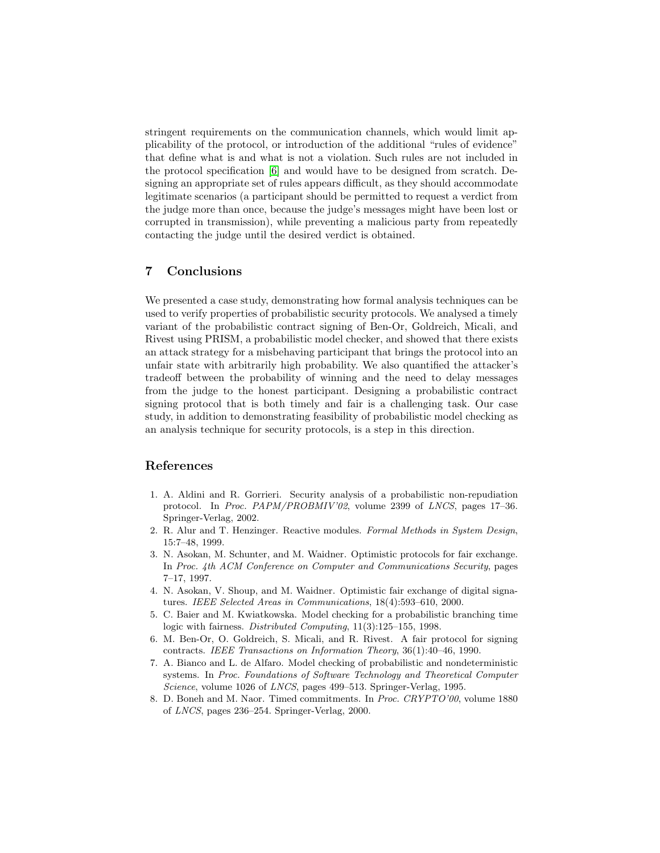stringent requirements on the communication channels, which would limit applicability of the protocol, or introduction of the additional "rules of evidence" that define what is and what is not a violation. Such rules are not included in the protocol specification [\[6\]](#page-14-2) and would have to be designed from scratch. Designing an appropriate set of rules appears difficult, as they should accommodate legitimate scenarios (a participant should be permitted to request a verdict from the judge more than once, because the judge's messages might have been lost or corrupted in transmission), while preventing a malicious party from repeatedly contacting the judge until the desired verdict is obtained.

## 7 Conclusions

We presented a case study, demonstrating how formal analysis techniques can be used to verify properties of probabilistic security protocols. We analysed a timely variant of the probabilistic contract signing of Ben-Or, Goldreich, Micali, and Rivest using PRISM, a probabilistic model checker, and showed that there exists an attack strategy for a misbehaving participant that brings the protocol into an unfair state with arbitrarily high probability. We also quantified the attacker's tradeoff between the probability of winning and the need to delay messages from the judge to the honest participant. Designing a probabilistic contract signing protocol that is both timely and fair is a challenging task. Our case study, in addition to demonstrating feasibility of probabilistic model checking as an analysis technique for security protocols, is a step in this direction.

### References

- <span id="page-14-3"></span>1. A. Aldini and R. Gorrieri. Security analysis of a probabilistic non-repudiation protocol. In Proc. PAPM/PROBMIV'02, volume 2399 of LNCS, pages 17–36. Springer-Verlag, 2002.
- <span id="page-14-5"></span>2. R. Alur and T. Henzinger. Reactive modules. Formal Methods in System Design, 15:7–48, 1999.
- <span id="page-14-7"></span>3. N. Asokan, M. Schunter, and M. Waidner. Optimistic protocols for fair exchange. In Proc. 4th ACM Conference on Computer and Communications Security, pages 7–17, 1997.
- <span id="page-14-0"></span>4. N. Asokan, V. Shoup, and M. Waidner. Optimistic fair exchange of digital signatures. IEEE Selected Areas in Communications, 18(4):593–610, 2000.
- <span id="page-14-6"></span>5. C. Baier and M. Kwiatkowska. Model checking for a probabilistic branching time logic with fairness. Distributed Computing, 11(3):125–155, 1998.
- <span id="page-14-2"></span>6. M. Ben-Or, O. Goldreich, S. Micali, and R. Rivest. A fair protocol for signing contracts. IEEE Transactions on Information Theory, 36(1):40–46, 1990.
- <span id="page-14-4"></span>7. A. Bianco and L. de Alfaro. Model checking of probabilistic and nondeterministic systems. In Proc. Foundations of Software Technology and Theoretical Computer Science, volume 1026 of LNCS, pages 499–513. Springer-Verlag, 1995.
- <span id="page-14-1"></span>8. D. Boneh and M. Naor. Timed commitments. In Proc. CRYPTO'00, volume 1880 of LNCS, pages 236–254. Springer-Verlag, 2000.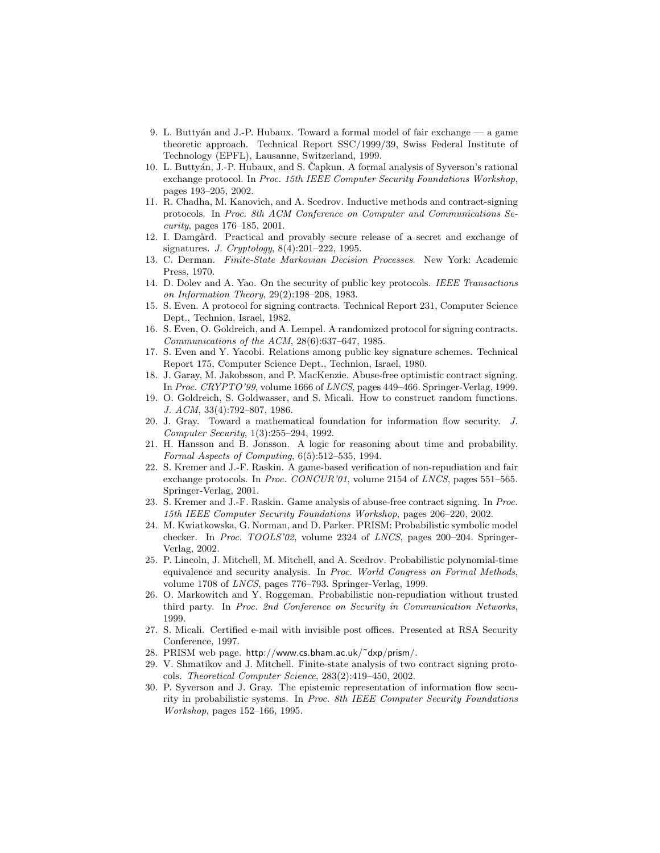- <span id="page-15-8"></span>9. L. Buttyán and J.-P. Hubaux. Toward a formal model of fair exchange  $-$  a game theoretic approach. Technical Report SSC/1999/39, Swiss Federal Institute of Technology (EPFL), Lausanne, Switzerland, 1999.
- <span id="page-15-10"></span>10. L. Buttyán, J.-P. Hubaux, and S. Capkun. A formal analysis of Syverson's rational exchange protocol. In Proc. 15th IEEE Computer Security Foundations Workshop, pages 193–205, 2002.
- <span id="page-15-9"></span>11. R. Chadha, M. Kanovich, and A. Scedrov. Inductive methods and contract-signing protocols. In Proc. 8th ACM Conference on Computer and Communications Security, pages 176–185, 2001.
- <span id="page-15-3"></span>12. I. Damgård. Practical and provably secure release of a secret and exchange of signatures. J. Cryptology, 8(4):201–222, 1995.
- <span id="page-15-15"></span>13. C. Derman. Finite-State Markovian Decision Processes. New York: Academic Press, 1970.
- <span id="page-15-21"></span>14. D. Dolev and A. Yao. On the security of public key protocols. IEEE Transactions on Information Theory, 29(2):198–208, 1983.
- <span id="page-15-1"></span>15. S. Even. A protocol for signing contracts. Technical Report 231, Computer Science Dept., Technion, Israel, 1982.
- <span id="page-15-2"></span>16. S. Even, O. Goldreich, and A. Lempel. A randomized protocol for signing contracts.  $Communications of the ACM, 28(6): 637-647, 1985.$
- <span id="page-15-0"></span>17. S. Even and Y. Yacobi. Relations among public key signature schemes. Technical Report 175, Computer Science Dept., Technion, Israel, 1980.
- <span id="page-15-4"></span>18. J. Garay, M. Jakobsson, and P. MacKenzie. Abuse-free optimistic contract signing. In Proc. CRYPTO'99, volume 1666 of LNCS, pages 449–466. Springer-Verlag, 1999.
- <span id="page-15-20"></span>19. O. Goldreich, S. Goldwasser, and S. Micali. How to construct random functions. J. ACM, 33(4):792–807, 1986.
- <span id="page-15-12"></span>20. J. Gray. Toward a mathematical foundation for information flow security. J. Computer Security, 1(3):255–294, 1992.
- <span id="page-15-16"></span>21. H. Hansson and B. Jonsson. A logic for reasoning about time and probability. Formal Aspects of Computing, 6(5):512–535, 1994.
- <span id="page-15-6"></span>22. S. Kremer and J.-F. Raskin. A game-based verification of non-repudiation and fair exchange protocols. In Proc. CONCUR'01, volume 2154 of LNCS, pages 551–565. Springer-Verlag, 2001.
- <span id="page-15-7"></span>23. S. Kremer and J.-F. Raskin. Game analysis of abuse-free contract signing. In Proc. 15th IEEE Computer Security Foundations Workshop, pages 206–220, 2002.
- <span id="page-15-17"></span>24. M. Kwiatkowska, G. Norman, and D. Parker. PRISM: Probabilistic symbolic model checker. In Proc. TOOLS'02, volume 2324 of LNCS, pages 200–204. Springer-Verlag, 2002.
- <span id="page-15-14"></span>25. P. Lincoln, J. Mitchell, M. Mitchell, and A. Scedrov. Probabilistic polynomial-time equivalence and security analysis. In Proc. World Congress on Formal Methods, volume 1708 of LNCS, pages 776–793. Springer-Verlag, 1999.
- <span id="page-15-11"></span>26. O. Markowitch and Y. Roggeman. Probabilistic non-repudiation without trusted third party. In Proc. 2nd Conference on Security in Communication Networks, 1999.
- <span id="page-15-19"></span>27. S. Micali. Certified e-mail with invisible post offices. Presented at RSA Security Conference, 1997.
- <span id="page-15-18"></span>28. PRISM web page. http://www.cs.bham.ac.uk/˜dxp/prism/.
- <span id="page-15-5"></span>29. V. Shmatikov and J. Mitchell. Finite-state analysis of two contract signing protocols. Theoretical Computer Science, 283(2):419–450, 2002.
- <span id="page-15-13"></span>30. P. Syverson and J. Gray. The epistemic representation of information flow security in probabilistic systems. In Proc. 8th IEEE Computer Security Foundations Workshop, pages 152–166, 1995.